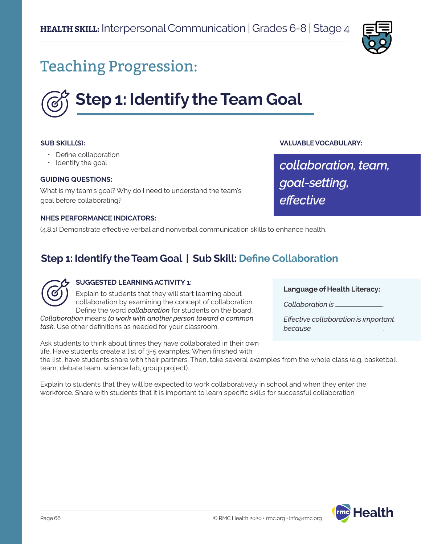

# Teaching Progression:



#### **SUB SKILL(S):**

- Define collaboration
- Identify the goal

#### **GUIDING QUESTIONS:**

What is my team's goal? Why do I need to understand the team's goal before collaborating?

#### **NHES PERFORMANCE INDICATORS:**

(4.8.1) Demonstrate effective verbal and nonverbal communication skills to enhance health.

### **Step 1: Identify the Team Goal | Sub Skill: Define Collaboration**



#### **SUGGESTED LEARNING ACTIVITY 1:**

Explain to students that they will start learning about collaboration by examining the concept of collaboration. Define the word *collaboration* for students on the board.

*Collaboration* means *to work with another person toward a common task*. Use other definitions as needed for your classroom.

Ask students to think about times they have collaborated in their own life. Have students create a list of 3-5 examples. When finished with

**Language of Health Literacy:**

*Collaboration is* .

**VALUABLE VOCABULARY:**

*goal-setting,*

*effective*

*collaboration, team,* 

*Effective collaboration is important because* .

the list, have students share with their partners. Then, take several examples from the whole class (e.g. basketball team, debate team, science lab, group project).

Explain to students that they will be expected to work collaboratively in school and when they enter the workforce. Share with students that it is important to learn specific skills for successful collaboration.

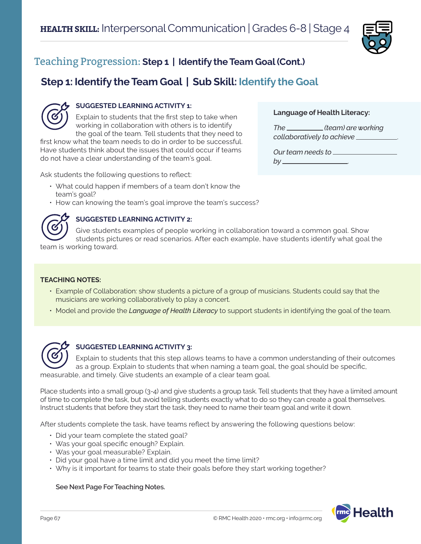

**Language of Health Literacy:**

*collaboratively to achieve* .

*Our team needs to* 

*by* .

*The (team) are working* 

## Teaching Progression: **Step 1 | Identify the Team Goal (Cont.)**

## **Step 1: Identify the Team Goal | Sub Skill: Identify the Goal**



#### **SUGGESTED LEARNING ACTIVITY 1:**

Explain to students that the first step to take when working in collaboration with others is to identify the goal of the team. Tell students that they need to

first know what the team needs to do in order to be successful. Have students think about the issues that could occur if teams do not have a clear understanding of the team's goal.

Ask students the following questions to reflect:

- What could happen if members of a team don't know the team's goal?
- How can knowing the team's goal improve the team's success?



#### **SUGGESTED LEARNING ACTIVITY 2:**

Give students examples of people working in collaboration toward a common goal. Show students pictures or read scenarios. After each example, have students identify what goal the

team is working toward.

#### **TEACHING NOTES:**

- Example of Collaboration: show students a picture of a group of musicians. Students could say that the musicians are working collaboratively to play a concert.
- Model and provide the *Language of Health Literacy* to support students in identifying the goal of the team.



#### **SUGGESTED LEARNING ACTIVITY 3:**

Explain to students that this step allows teams to have a common understanding of their outcomes as a group. Explain to students that when naming a team goal, the goal should be specific, measurable, and timely. Give students an example of a clear team goal.

Place students into a small group (3-4) and give students a group task. Tell students that they have a limited amount of time to complete the task, but avoid telling students exactly what to do so they can create a goal themselves. Instruct students that before they start the task, they need to name their team goal and write it down.

After students complete the task, have teams reflect by answering the following questions below:

- Did your team complete the stated goal?
- Was your goal specific enough? Explain.
- Was your goal measurable? Explain.
- Did your goal have a time limit and did you meet the time limit?
- Why is it important for teams to state their goals before they start working together?

#### **See Next Page For Teaching Notes.**